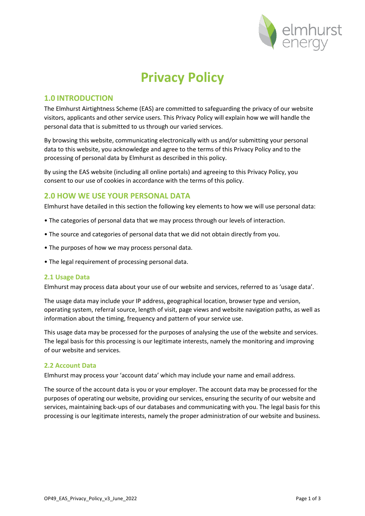

# **Privacy Policy**

# **1.0 INTRODUCTION**

The Elmhurst Airtightness Scheme (EAS) are committed to safeguarding the privacy of our website visitors, applicants and other service users. This Privacy Policy will explain how we will handle the personal data that is submitted to us through our varied services.

By browsing this website, communicating electronically with us and/or submitting your personal data to this website, you acknowledge and agree to the terms of this Privacy Policy and to the processing of personal data by Elmhurst as described in this policy.

By using the EAS website (including all online portals) and agreeing to this Privacy Policy, you consent to our use of cookies in accordance with the terms of this policy.

## **2.0 HOW WE USE YOUR PERSONAL DATA**

Elmhurst have detailed in this section the following key elements to how we will use personal data:

- The categories of personal data that we may process through our levels of interaction.
- The source and categories of personal data that we did not obtain directly from you.
- The purposes of how we may process personal data.
- The legal requirement of processing personal data.

#### **2.1 Usage Data**

Elmhurst may process data about your use of our website and services, referred to as 'usage data'.

The usage data may include your IP address, geographical location, browser type and version, operating system, referral source, length of visit, page views and website navigation paths, as well as information about the timing, frequency and pattern of your service use.

This usage data may be processed for the purposes of analysing the use of the website and services. The legal basis for this processing is our legitimate interests, namely the monitoring and improving of our website and services.

#### **2.2 Account Data**

Elmhurst may process your 'account data' which may include your name and email address.

The source of the account data is you or your employer. The account data may be processed for the purposes of operating our website, providing our services, ensuring the security of our website and services, maintaining back-ups of our databases and communicating with you. The legal basis for this processing is our legitimate interests, namely the proper administration of our website and business.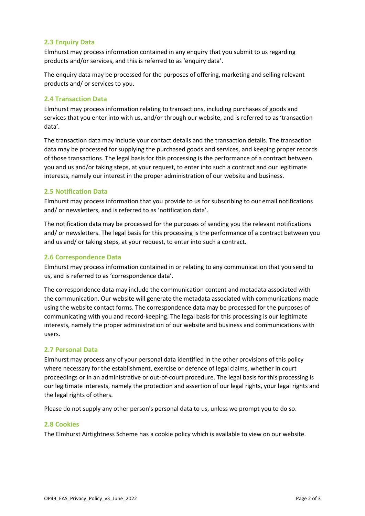#### **2.3 Enquiry Data**

Elmhurst may process information contained in any enquiry that you submit to us regarding products and/or services, and this is referred to as 'enquiry data'.

The enquiry data may be processed for the purposes of offering, marketing and selling relevant products and/ or services to you.

#### **2.4 Transaction Data**

Elmhurst may process information relating to transactions, including purchases of goods and services that you enter into with us, and/or through our website, and is referred to as 'transaction data'.

The transaction data may include your contact details and the transaction details. The transaction data may be processed for supplying the purchased goods and services, and keeping proper records of those transactions. The legal basis for this processing is the performance of a contract between you and us and/or taking steps, at your request, to enter into such a contract and our legitimate interests, namely our interest in the proper administration of our website and business.

#### **2.5 Notification Data**

Elmhurst may process information that you provide to us for subscribing to our email notifications and/ or newsletters, and is referred to as 'notification data'.

The notification data may be processed for the purposes of sending you the relevant notifications and/ or newsletters. The legal basis for this processing is the performance of a contract between you and us and/ or taking steps, at your request, to enter into such a contract.

#### **2.6 Correspondence Data**

Elmhurst may process information contained in or relating to any communication that you send to us, and is referred to as 'correspondence data'.

The correspondence data may include the communication content and metadata associated with the communication. Our website will generate the metadata associated with communications made using the website contact forms. The correspondence data may be processed for the purposes of communicating with you and record-keeping. The legal basis for this processing is our legitimate interests, namely the proper administration of our website and business and communications with users.

#### **2.7 Personal Data**

Elmhurst may process any of your personal data identified in the other provisions of this policy where necessary for the establishment, exercise or defence of legal claims, whether in court proceedings or in an administrative or out-of-court procedure. The legal basis for this processing is our legitimate interests, namely the protection and assertion of our legal rights, your legal rights and the legal rights of others.

Please do not supply any other person's personal data to us, unless we prompt you to do so.

#### **2.8 Cookies**

The Elmhurst Airtightness Scheme has a cookie policy which is available to view on our website.